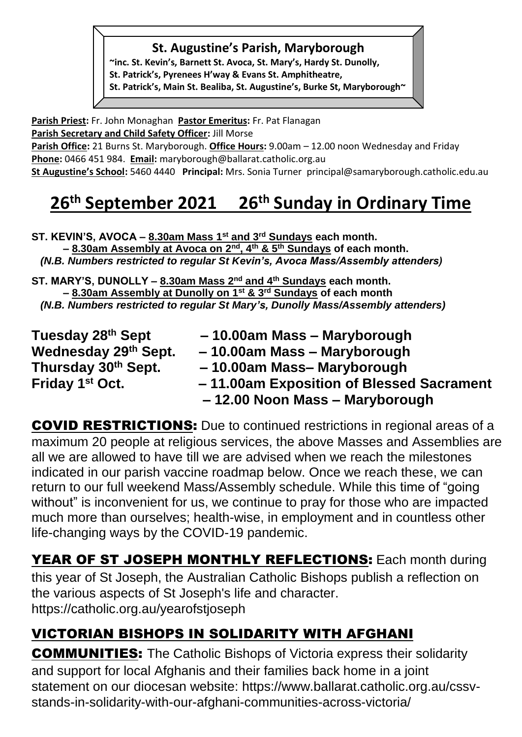### **St. Augustine's Parish, Maryborough**

**~inc. St. Kevin's, Barnett St. Avoca, St. Mary's, Hardy St. Dunolly, St. Patrick's, Pyrenees H'way & Evans St. Amphitheatre, St. Patrick's, Main St. Bealiba, St. Augustine's, Burke St, Maryborough~**

**Parish Priest:** Fr. John Monaghan **Pastor Emeritus:** Fr. Pat Flanagan **Parish Secretary and Child Safety Officer:** Jill Morse

Parish Office: 21 Burns St. Maryborough. Office Hours: 9.00am – 12.00 noon Wednesday and Friday **Phone:** 0466 451 984. **Email:** [maryborough@ballarat.catholic.org.au](mailto:maryborough@ballarat.catholic.org.au) 

**St Augustine's School:** 5460 4440 **Principal:** Mrs. Sonia Turner [principal@samaryborough.catholic.edu.au](mailto:principal@samaryborough.catholic.edu.au)

# **26th September 2021 26 th Sunday in Ordinary Time**

**ST. KEVIN'S, AVOCA – 8.30am Mass 1st and 3rd Sundays each month. – 8.30am Assembly at Avoca on 2nd, 4th & 5th Sundays of each month.**   *(N.B. Numbers restricted to regular St Kevin's, Avoca Mass/Assembly attenders)* 

**ST. MARY'S, DUNOLLY – 8.30am Mass 2nd and 4th Sundays each month. – 8.30am Assembly at Dunolly on 1st & 3rd Sundays of each month**  *(N.B. Numbers restricted to regular St Mary's, Dunolly Mass/Assembly attenders)*

**Tuesday 28 Wednesday 29 Friday 1**

- **th Sept – 10.00am Mass – Maryborough**
- **th Sept. – 10.00am Mass – Maryborough**
- **Thursday 30th Sept. – 10.00am Mass– Maryborough** 
	- **st Oct. – 11.00am Exposition of Blessed Sacrament – 12.00 Noon Mass – Maryborough**

COVID RESTRICTIONS: Due to continued restrictions in regional areas of a maximum 20 people at religious services, the above Masses and Assemblies are all we are allowed to have till we are advised when we reach the milestones indicated in our parish vaccine roadmap below. Once we reach these, we can return to our full weekend Mass/Assembly schedule. While this time of "going without" is inconvenient for us, we continue to pray for those who are impacted much more than ourselves; health-wise, in employment and in countless other life-changing ways by the COVID-19 pandemic.

YEAR OF ST JOSEPH MONTHLY REFLECTIONS: Each month during this year of St Joseph, the Australian Catholic Bishops publish a reflection on the various aspects of St Joseph's life and character. <https://catholic.org.au/yearofstjoseph>

## VICTORIAN BISHOPS IN SOLIDARITY WITH AFGHANI

**COMMUNITIES:** The Catholic Bishops of Victoria express their solidarity and support for local Afghanis and their families back home in a joint statement on our diocesan website: [https://www.ballarat.catholic.org.au/cssv](https://www.ballarat.catholic.org.au/cssv-stands-in-solidarity-with-our-afghani-communities-across-victoria/)[stands-in-solidarity-with-our-afghani-communities-across-victoria/](https://www.ballarat.catholic.org.au/cssv-stands-in-solidarity-with-our-afghani-communities-across-victoria/)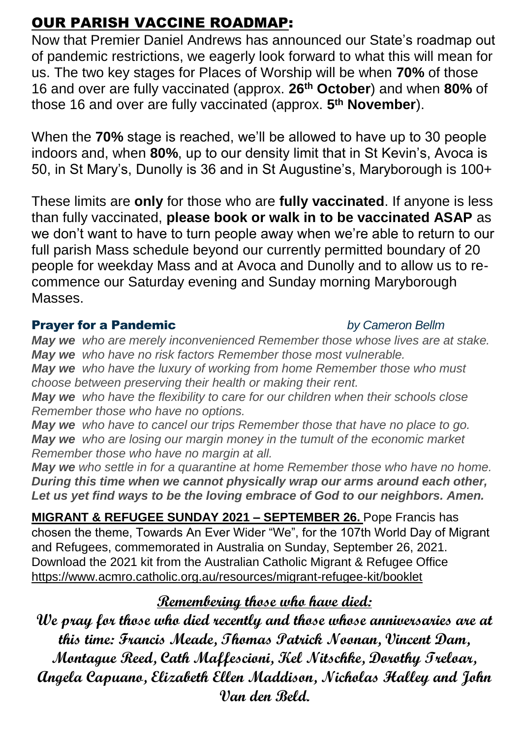## OUR PARISH VACCINE ROADMAP:

Now that Premier Daniel Andrews has announced our State's roadmap out of pandemic restrictions, we eagerly look forward to what this will mean for us. The two key stages for Places of Worship will be when **70%** of those 16 and over are fully vaccinated (approx. **26th October**) and when **80%** of those 16 and over are fully vaccinated (approx. **5 th November**).

When the **70%** stage is reached, we'll be allowed to have up to 30 people indoors and, when **80%**, up to our density limit that in St Kevin's, Avoca is 50, in St Mary's, Dunolly is 36 and in St Augustine's, Maryborough is 100+

These limits are **only** for those who are **fully vaccinated**. If anyone is less than fully vaccinated, **please book or walk in to be vaccinated ASAP** as we don't want to have to turn people away when we're able to return to our full parish Mass schedule beyond our currently permitted boundary of 20 people for weekday Mass and at Avoca and Dunolly and to allow us to recommence our Saturday evening and Sunday morning Maryborough Masses.

#### **Prayer for a Pandemic by Cameron Bellm**

*May we who are merely inconvenienced Remember those whose lives are at stake. May we who have no risk factors Remember those most vulnerable.*

*May we who have the luxury of working from home Remember those who must choose between preserving their health or making their rent.*

*May we who have the flexibility to care for our children when their schools close Remember those who have no options.*

*May we who have to cancel our trips Remember those that have no place to go. May we who are losing our margin money in the tumult of the economic market Remember those who have no margin at all.*

*May we who settle in for a quarantine at home Remember those who have no home. During this time when we cannot physically wrap our arms around each other, Let us yet find ways to be the loving embrace of God to our neighbors. Amen.*

**MIGRANT & REFUGEE SUNDAY 2021 – SEPTEMBER 26.** Pope Francis has chosen the theme, Towards An Ever Wider "We", for the 107th World Day of Migrant and Refugees, commemorated in Australia on Sunday, September 26, 2021. Download the 2021 kit from the Australian Catholic Migrant & Refugee Office <https://www.acmro.catholic.org.au/resources/migrant-refugee-kit/booklet>

## **Remembering those who have died:**

**We pray for those who died recently and those whose anniversaries are at this time: Francis Meade, Thomas Patrick Noonan, Vincent Dam, Montague Reed, Cath Maffescioni, Kel Nitschke, Dorothy Treloar, Angela Capuano, Elizabeth Ellen Maddison, Nicholas Halley and John Van den Beld.**